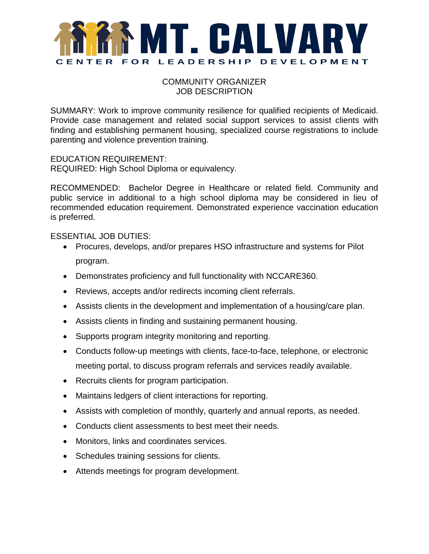

COMMUNITY ORGANIZER JOB DESCRIPTION

SUMMARY: Work to improve community resilience for qualified recipients of Medicaid. Provide case management and related social support services to assist clients with finding and establishing permanent housing, specialized course registrations to include parenting and violence prevention training.

EDUCATION REQUIREMENT:

REQUIRED: High School Diploma or equivalency.

RECOMMENDED: Bachelor Degree in Healthcare or related field. Community and public service in additional to a high school diploma may be considered in lieu of recommended education requirement. Demonstrated experience vaccination education is preferred.

ESSENTIAL JOB DUTIES:

- Procures, develops, and/or prepares HSO infrastructure and systems for Pilot program.
- Demonstrates proficiency and full functionality with NCCARE360.
- Reviews, accepts and/or redirects incoming client referrals.
- Assists clients in the development and implementation of a housing/care plan.
- Assists clients in finding and sustaining permanent housing.
- Supports program integrity monitoring and reporting.
- Conducts follow-up meetings with clients, face-to-face, telephone, or electronic meeting portal, to discuss program referrals and services readily available.
- Recruits clients for program participation.
- Maintains ledgers of client interactions for reporting.
- Assists with completion of monthly, quarterly and annual reports, as needed.
- Conducts client assessments to best meet their needs.
- Monitors, links and coordinates services.
- Schedules training sessions for clients.
- Attends meetings for program development.